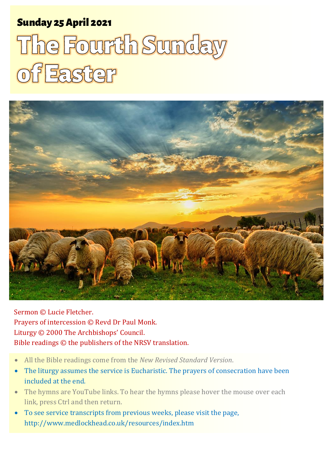# Sunday 25 April 2021 1 The Fourth Sunday of Easter Sunday 25April 2021

# The Fourth Sunday of Easter



Sermon © Lucie Fletcher. Prayers of intercession © Revd Dr Paul Monk. Liturgy © 2000 The Archbishops' Council. Bible readings © the publishers of the NRSV translation.

- All the Bible readings come from the *New Revised Standard Version*.
- The liturgy assumes the service is Eucharistic. The prayers of consecration have been included at the end.
- The hymns are YouTube links. To hear the hymns please hover the mouse over each link, press Ctrl and then return.
- To see service transcripts from previous weeks, please visit the page, <http://www.medlockhead.co.uk/resources/index.htm>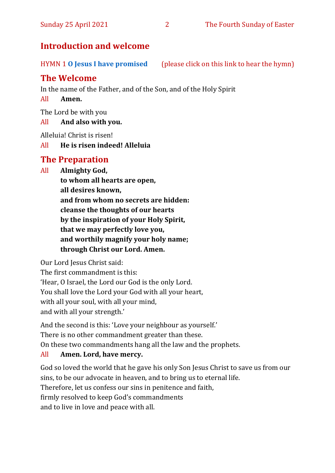# **Introduction and welcome**

HYMN 1 **[O Jesus I have promised](https://www.youtube.com/watch?v=IaKT4scxct0)** (please click on this link to hear the hymn)

# **The Welcome**

In the name of the Father, and of the Son, and of the Holy Spirit

#### All **Amen.**

The Lord be with you

#### All **And also with you.**

Alleluia! Christ is risen!

#### All **He is risen indeed! Alleluia**

# **The Preparation**

All **Almighty God, to whom all hearts are open, all desires known, and from whom no secrets are hidden: cleanse the thoughts of our hearts by the inspiration of your Holy Spirit, that we may perfectly love you, and worthily magnify your holy name; through Christ our Lord. Amen.**

Our Lord Jesus Christ said: The first commandment is this: 'Hear, O Israel, the Lord our God is the only Lord. You shall love the Lord your God with all your heart, with all your soul, with all your mind, and with all your strength.'

And the second is this: 'Love your neighbour as yourself.' There is no other commandment greater than these. On these two commandments hang all the law and the prophets.

#### All **Amen. Lord, have mercy.**

God so loved the world that he gave his only Son Jesus Christ to save us from our sins, to be our advocate in heaven, and to bring us to eternal life. Therefore, let us confess our sins in penitence and faith, firmly resolved to keep God's commandments and to live in love and peace with all.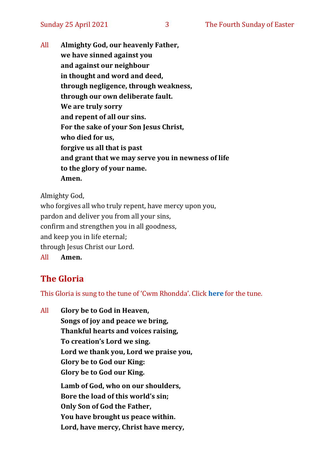All **Almighty God, our heavenly Father, we have sinned against you and against our neighbour in thought and word and deed, through negligence, through weakness, through our own deliberate fault. We are truly sorry and repent of all our sins. For the sake of your Son Jesus Christ, who died for us, forgive us all that is past and grant that we may serve you in newness of life to the glory of your name. Amen.**

Almighty God,

who forgives all who truly repent, have mercy upon you, pardon and deliver you from all your sins, confirm and strengthen you in all goodness, and keep you in life eternal; through Jesus Christ our Lord. All **Amen.**

# **The Gloria**

This Gloria is sung to the tune of 'Cwm Rhondda'. Click **[here](about:blank)** for the tune.

All **Glory be to God in Heaven, Songs of joy and peace we bring, Thankful hearts and voices raising, To creation's Lord we sing. Lord we thank you, Lord we praise you, Glory be to God our King: Glory be to God our King. Lamb of God, who on our shoulders, Bore the load of this world's sin; Only Son of God the Father, You have brought us peace within. Lord, have mercy, Christ have mercy,**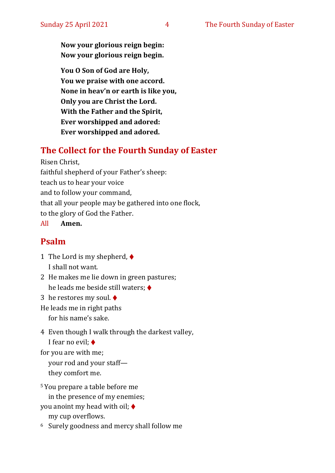**Now your glorious reign begin: Now your glorious reign begin.**

**You O Son of God are Holy, You we praise with one accord. None in heav'n or earth is like you, Only you are Christ the Lord. With the Father and the Spirit, Ever worshipped and adored: Ever worshipped and adored.**

#### **The Collect for the Fourth Sunday of Easter**

Risen Christ,

faithful shepherd of your Father's sheep:

teach us to hear your voice

and to follow your command,

that all your people may be gathered into one flock,

to the glory of God the Father.

All **Amen.**

#### **Psalm**

1 The Lord is my shepherd, ♦ I shall not want.

2 He makes me lie down in green pastures; he leads me beside still waters; ♦

3 he restores my soul. ♦

He leads me in right paths

for his name's sake.

4 Even though I walk through the darkest valley, I fear no evil; ♦

for you are with me;

your rod and your staff they comfort me.

<sup>5</sup> You prepare a table before me

in the presence of my enemies;

you anoint my head with oil; ♦

my cup overflows.

<sup>6</sup> Surely goodness and mercy shall follow me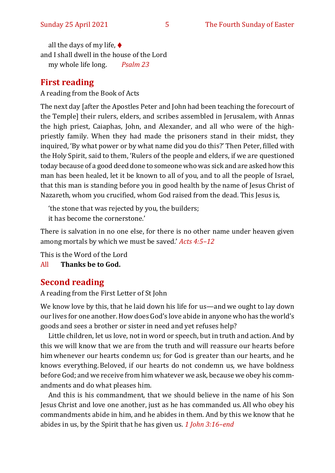all the days of my life,  $\blacklozenge$ and I shall dwell in the house of the Lord my whole life long. *Psalm 23*

# **First reading**

A reading from the Book of Acts

The next day [after the Apostles Peter and John had been teaching the forecourt of the Temple] their rulers, elders, and scribes assembled in Jerusalem, with Annas the high priest, Caiaphas, John, and Alexander, and all who were of the highpriestly family. When they had made the prisoners stand in their midst, they inquired, 'By what power or by what name did you do this?' Then Peter, filled with the Holy Spirit, said to them, 'Rulers of the people and elders, if we are questioned today because of a good deed done to someone who was sick and are asked how this man has been healed, let it be known to all of you, and to all the people of Israel, that this man is standing before you in good health by the name of Jesus Christ of Nazareth, whom you crucified, whom God raised from the dead. This Jesus is,

'the stone that was rejected by you, the builders;

it has become the cornerstone.'

There is salvation in no one else, for there is no other name under heaven given among mortals by which we must be saved.' *Acts 4:5–12*

This is the Word of the Lord

All **Thanks be to God.**

#### **Second reading**

A reading from the First Letter of St John

We know love by this, that he laid down his life for us—and we ought to lay down our lives for one another.How does God's love abide in anyone who has the world's goods and sees a brother or sister in need and yet refuses help?

Little children, let us love, not in word or speech, but in truth and action. And by this we will know that we are from the truth and will reassure our hearts before him whenever our hearts condemn us; for God is greater than our hearts, and he knows everything.Beloved, if our hearts do not condemn us, we have boldness before God; and we receive from him whatever we ask, because we obey his commandments and do what pleases him.

And this is his commandment, that we should believe in the name of his Son Jesus Christ and love one another, just as he has commanded us. All who obey his commandments abide in him, and he abides in them. And by this we know that he abides in us, by the Spirit that he has given us. *1 John 3:16–end*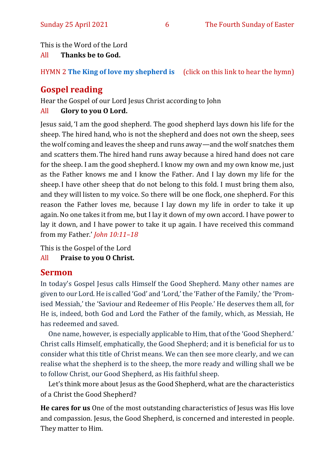This is the Word of the Lord

All **Thanks be to God.**

HYMN 2 **[The King of love my shepherd is](https://www.youtube.com/watch?v=YcCwUF0s_-Y)** (click on this link to hear the hymn)

# **Gospel reading**

Hear the Gospel of our Lord Jesus Christ according to John

#### All **Glory to you O Lord.**

Jesus said, 'I am the good shepherd. The good shepherd lays down his life for the sheep. The hired hand, who is not the shepherd and does not own the sheep, sees the wolf coming and leaves the sheep and runs away—and the wolf snatches them and scatters them. The hired hand runs away because a hired hand does not care for the sheep. I am the good shepherd. I know my own and my own know me, just as the Father knows me and I know the Father. And I lay down my life for the sheep.I have other sheep that do not belong to this fold. I must bring them also, and they will listen to my voice. So there will be one flock, one shepherd. For this reason the Father loves me, because I lay down my life in order to take it up again.No one takes it from me, but I lay it down of my own accord. I have power to lay it down, and I have power to take it up again. I have received this command from my Father.' *John 10:11–18*

This is the Gospel of the Lord

All **Praise to you O Christ.** 

# **Sermon**

In today's Gospel Jesus calls Himself the Good Shepherd. Many other names are given to our Lord. He is called 'God' and 'Lord,' the 'Father of the Family,' the 'Promised Messiah,' the 'Saviour and Redeemer of His People.' He deserves them all, for He is, indeed, both God and Lord the Father of the family, which, as Messiah, He has redeemed and saved.

One name, however, is especially applicable to Him, that of the 'Good Shepherd.' Christ calls Himself, emphatically, the Good Shepherd; and it is beneficial for us to consider what this title of Christ means. We can then see more clearly, and we can realise what the shepherd is to the sheep, the more ready and willing shall we be to follow Christ, our Good Shepherd, as His faithful sheep.

Let's think more about Jesus as the Good Shepherd, what are the characteristics of a Christ the Good Shepherd?

**He cares for us** One of the most outstanding characteristics of Jesus was His love and compassion. Jesus, the Good Shepherd, is concerned and interested in people. They matter to Him.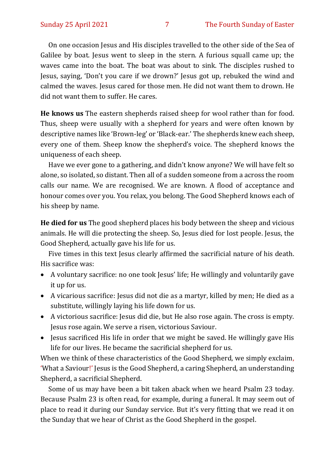On one occasion Jesus and His disciples travelled to the other side of the Sea of Galilee by boat. Jesus went to sleep in the stern. A furious squall came up; the waves came into the boat. The boat was about to sink. The disciples rushed to Jesus, saying, 'Don't you care if we drown?' Jesus got up, rebuked the wind and calmed the waves. Jesus cared for those men. He did not want them to drown. He did not want them to suffer. He cares.

**He knows us** The eastern shepherds raised sheep for wool rather than for food. Thus, sheep were usually with a shepherd for years and were often known by descriptive names like 'Brown-leg' or 'Black-ear.' The shepherds knew each sheep, every one of them. Sheep know the shepherd's voice. The shepherd knows the uniqueness of each sheep.

Have we ever gone to a gathering, and didn't know anyone? We will have felt so alone, so isolated, so distant. Then all of a sudden someone from a across the room calls our name. We are recognised. We are known. A flood of acceptance and honour comes over you. You relax, you belong. The Good Shepherd knows each of his sheep by name.

**He died for us** The good shepherd places his body between the sheep and vicious animals. He will die protecting the sheep. So, Jesus died for lost people. Jesus, the Good Shepherd, actually gave his life for us.

Five times in this text Jesus clearly affirmed the sacrificial nature of his death. His sacrifice was:

- A voluntary sacrifice: no one took Jesus' life; He willingly and voluntarily gave it up for us.
- A vicarious sacrifice: Jesus did not die as a martyr, killed by men; He died as a substitute, willingly laying his life down for us.
- A victorious sacrifice: Jesus did die, but He also rose again. The cross is empty. Jesus rose again. We serve a risen, victorious Saviour.
- Jesus sacrificed His life in order that we might be saved. He willingly gave His life for our lives. He became the sacrificial shepherd for us.

When we think of these characteristics of the Good Shepherd, we simply exclaim, 'What a Saviour!' Jesus is the Good Shepherd, a caring Shepherd, an understanding Shepherd, a sacrificial Shepherd.

Some of us may have been a bit taken aback when we heard Psalm 23 today. Because Psalm 23 is often read, for example, during a funeral. It may seem out of place to read it during our Sunday service. But it's very fitting that we read it on the Sunday that we hear of Christ as the Good Shepherd in the gospel.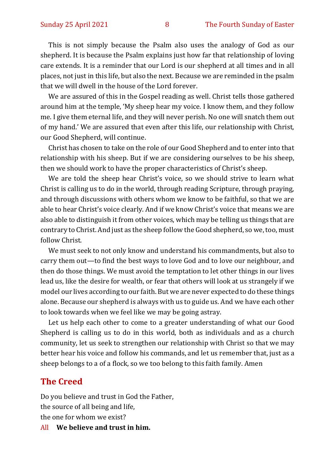This is not simply because the Psalm also uses the analogy of God as our shepherd. It is because the Psalm explains just how far that relationship of loving care extends. It is a reminder that our Lord is our shepherd at all times and in all places, not just in this life, but also the next. Because we are reminded in the psalm that we will dwell in the house of the Lord forever.

We are assured of this in the Gospel reading as well. Christ tells those gathered around him at the temple, 'My sheep hear my voice. I know them, and they follow me. I give them eternal life, and they will never perish. No one will snatch them out of my hand.' We are assured that even after this life, our relationship with Christ, our Good Shepherd, will continue.

Christ has chosen to take on the role of our Good Shepherd and to enter into that relationship with his sheep. But if we are considering ourselves to be his sheep, then we should work to have the proper characteristics of Christ's sheep.

We are told the sheep hear Christ's voice, so we should strive to learn what Christ is calling us to do in the world, through reading Scripture, through praying, and through discussions with others whom we know to be faithful, so that we are able to hear Christ's voice clearly. And if we know Christ's voice that means we are also able to distinguish it from other voices, which may be telling us things that are contrary to Christ. And just as the sheep follow the Good shepherd, so we, too, must follow Christ.

We must seek to not only know and understand his commandments, but also to carry them out—to find the best ways to love God and to love our neighbour, and then do those things. We must avoid the temptation to let other things in our lives lead us, like the desire for wealth, or fear that others will look at us strangely if we model our lives according to our faith. But we are never expected to do these things alone. Because our shepherd is always with us to guide us. And we have each other to look towards when we feel like we may be going astray.

Let us help each other to come to a greater understanding of what our Good Shepherd is calling us to do in this world, both as individuals and as a church community, let us seek to strengthen our relationship with Christ so that we may better hear his voice and follow his commands, and let us remember that, just as a sheep belongs to a of a flock, so we too belong to this faith family. Amen

#### **The Creed**

Do you believe and trust in God the Father, the source of all being and life, the one for whom we exist?

All **We believe and trust in him.**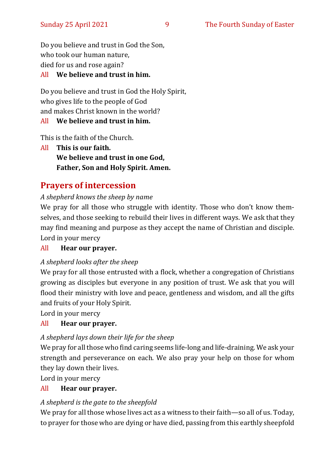Do you believe and trust in God the Son, who took our human nature, died for us and rose again? All **We believe and trust in him.**

# Do you believe and trust in God the Holy Spirit, who gives life to the people of God and makes Christ known in the world?

#### All **We believe and trust in him.**

This is the faith of the Church.

All **This is our faith. We believe and trust in one God, Father, Son and Holy Spirit. Amen.**

# **Prayers of intercession**

#### *A shepherd knows the sheep by name*

We pray for all those who struggle with identity. Those who don't know themselves, and those seeking to rebuild their lives in different ways. We ask that they may find meaning and purpose as they accept the name of Christian and disciple. Lord in your mercy

#### All **Hear our prayer.**

#### *A shepherd looks after the sheep*

We pray for all those entrusted with a flock, whether a congregation of Christians growing as disciples but everyone in any position of trust. We ask that you will flood their ministry with love and peace, gentleness and wisdom, and all the gifts and fruits of your Holy Spirit.

Lord in your mercy

#### All **Hear our prayer.**

#### *A shepherd lays down their life for the sheep*

We pray for all those who find caring seems life-long and life-draining. We ask your strength and perseverance on each. We also pray your help on those for whom they lay down their lives.

Lord in your mercy

#### All **Hear our prayer.**

#### *A shepherd is the gate to the sheepfold*

We pray for all those whose lives act as a witness to their faith—so all of us. Today, to prayer for those who are dying or have died, passing from this earthly sheepfold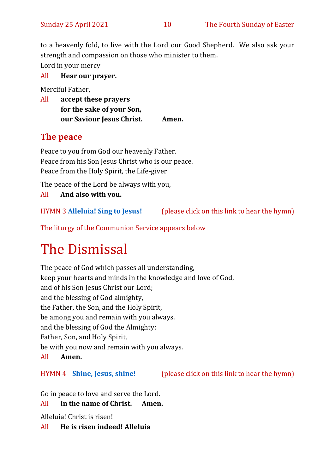to a heavenly fold, to live with the Lord our Good Shepherd. We also ask your strength and compassion on those who minister to them. Lord in your mercy

All **Hear our prayer.** 

Merciful Father,

All **accept these prayers for the sake of your Son, our Saviour Jesus Christ. Amen.**

# **The peace**

Peace to you from God our heavenly Father. Peace from his Son Jesus Christ who is our peace. Peace from the Holy Spirit, the Life-giver

The peace of the Lord be always with you,

All **And also with you.**

HYMN 3 **[Alleluia! Sing to Jesus!](https://www.youtube.com/watch?v=56a4w7XxvfY)** (please click on this link to hear the hymn)

The liturgy of the Communion Service appears below

# The Dismissal

The peace of God which passes all understanding, keep your hearts and minds in the knowledge and love of God, and of his Son Jesus Christ our Lord; and the blessing of God almighty, the Father, the Son, and the Holy Spirit, be among you and remain with you always. and the blessing of God the Almighty: Father, Son, and Holy Spirit, be with you now and remain with you always. All **Amen.**

HYMN 4 **[Shine, Jesus, shine!](https://www.youtube.com/watch?v=uaTwx0ehbvM)** (please click on this link to hear the hymn)

Go in peace to love and serve the Lord.

All **In the name of Christ. Amen.**

Alleluia! Christ is risen!

All **He is risen indeed! Alleluia**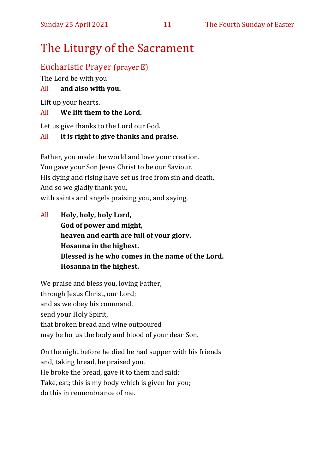# The Liturgy of the Sacrament

## Eucharistic Prayer (prayer E)

The Lord be with you

#### All **and also with you.**

Lift up your hearts.

#### All **We lift them to the Lord.**

Let us give thanks to the Lord our God.

#### All **It is right to give thanks and praise.**

Father, you made the world and love your creation. You gave your Son Jesus Christ to be our Saviour. His dying and rising have set us free from sin and death. And so we gladly thank you, with saints and angels praising you, and saying,

All **Holy, holy, holy Lord, God of power and might, heaven and earth are full of your glory. Hosanna in the highest. Blessed is he who comes in the name of the Lord. Hosanna in the highest.**

We praise and bless you, loving Father, through Jesus Christ, our Lord; and as we obey his command, send your Holy Spirit, that broken bread and wine outpoured may be for us the body and blood of your dear Son.

On the night before he died he had supper with his friends and, taking bread, he praised you. He broke the bread, gave it to them and said: Take, eat; this is my body which is given for you; do this in remembrance of me.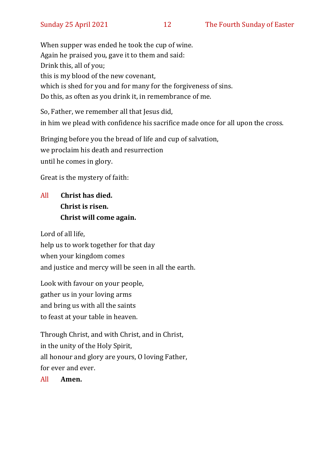When supper was ended he took the cup of wine. Again he praised you, gave it to them and said: Drink this, all of you; this is my blood of the new covenant, which is shed for you and for many for the forgiveness of sins. Do this, as often as you drink it, in remembrance of me.

So, Father, we remember all that Jesus did, in him we plead with confidence his sacrifice made once for all upon the cross.

Bringing before you the bread of life and cup of salvation, we proclaim his death and resurrection until he comes in glory.

Great is the mystery of faith:

# All **Christ has died. Christ is risen. Christ will come again.**

Lord of all life, help us to work together for that day when your kingdom comes and justice and mercy will be seen in all the earth.

Look with favour on your people, gather us in your loving arms and bring us with all the saints to feast at your table in heaven.

Through Christ, and with Christ, and in Christ, in the unity of the Holy Spirit, all honour and glory are yours, O loving Father, for ever and ever.

All **Amen.**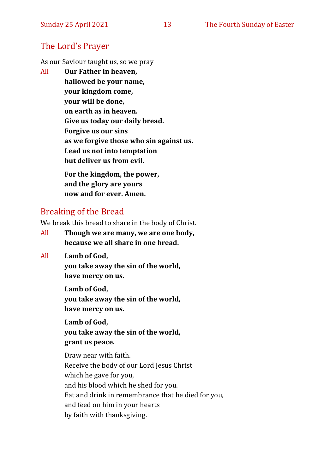## The Lord's Prayer

As our Saviour taught us, so we pray

All **Our Father in heaven, hallowed be your name, your kingdom come, your will be done, on earth as in heaven. Give us today our daily bread. Forgive us our sins as we forgive those who sin against us. Lead us not into temptation but deliver us from evil. For the kingdom, the power,** 

**and the glory are yours now and for ever. Amen.**

## Breaking of the Bread

We break this bread to share in the body of Christ.

- All **Though we are many, we are one body, because we all share in one bread.**
- All **Lamb of God,**

**you take away the sin of the world, have mercy on us.**

**Lamb of God, you take away the sin of the world, have mercy on us.**

**Lamb of God, you take away the sin of the world, grant us peace.**

Draw near with faith. Receive the body of our Lord Jesus Christ which he gave for you, and his blood which he shed for you. Eat and drink in remembrance that he died for you, and feed on him in your hearts by faith with thanksgiving.